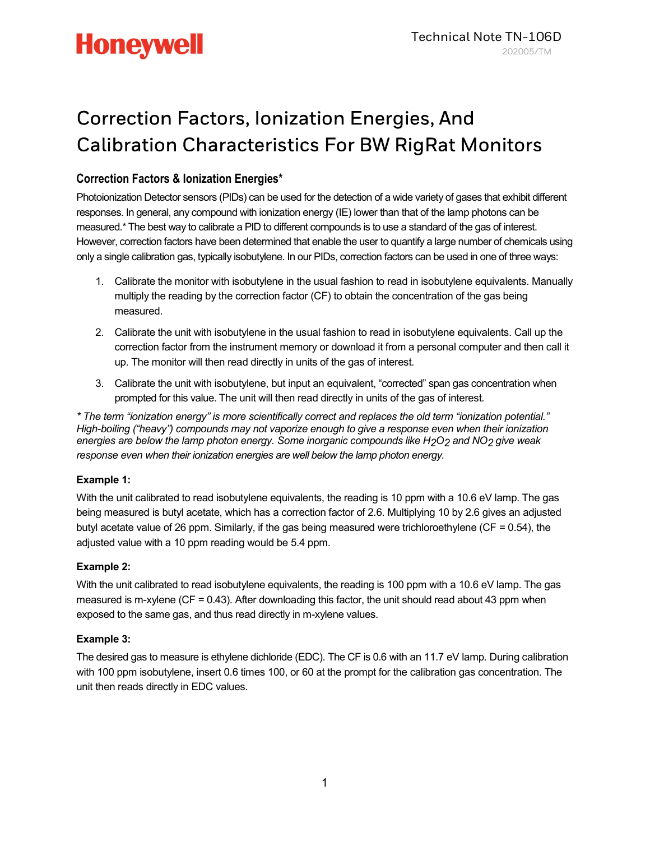### Correction Factors, Ionization Energies, And Calibration Characteristics For BW RigRat Monitors

### Correction Factors & Ionization Energies\*

Photoionization Detector sensors (PIDs) can be used for the detection of a wide variety of gases that exhibit different responses. In general, any compound with ionization energy (IE) lower than that of the lamp photons can be measured.\* The best way to calibrate a PID to different compounds is to use a standard of the gas of interest. However, correction factors have been determined that enable the user to quantify a large number of chemicals using only a single calibration gas, typically isobutylene. In our PIDs, correction factors can be used in one of three ways:

- 1. Calibrate the monitor with isobutylene in the usual fashion to read in isobutylene equivalents. Manually multiply the reading by the correction factor (CF) to obtain the concentration of the gas being measured.
- 2. Calibrate the unit with isobutylene in the usual fashion to read in isobutylene equivalents. Call up the correction factor from the instrument memory or download it from a personal computer and then call it up. The monitor will then read directly in units of the gas of interest.
- 3. Calibrate the unit with isobutylene, but input an equivalent, "corrected" span gas concentration when prompted for this value. The unit will then read directly in units of the gas of interest.

\* The term "ionization energy" is more scientifically correct and replaces the old term "ionization potential." High-boiling ("heavy") compounds may not vaporize enough to give a response even when their ionization energies are below the lamp photon energy. Some inorganic compounds like  $H_2O_2$  and NO<sub>2</sub> give weak response even when their ionization energies are well below the lamp photon energy.

#### Example 1:

With the unit calibrated to read isobutylene equivalents, the reading is 10 ppm with a 10.6 eV lamp. The gas being measured is butyl acetate, which has a correction factor of 2.6. Multiplying 10 by 2.6 gives an adjusted butyl acetate value of 26 ppm. Similarly, if the gas being measured were trichloroethylene (CF = 0.54), the adjusted value with a 10 ppm reading would be 5.4 ppm.

#### Example 2:

With the unit calibrated to read isobutylene equivalents, the reading is 100 ppm with a 10.6 eV lamp. The gas measured is m-xylene ( $CF = 0.43$ ). After downloading this factor, the unit should read about 43 ppm when exposed to the same gas, and thus read directly in m-xylene values.

#### Example 3:

The desired gas to measure is ethylene dichloride (EDC). The CF is 0.6 with an 11.7 eV lamp. During calibration with 100 ppm isobutylene, insert 0.6 times 100, or 60 at the prompt for the calibration gas concentration. The unit then reads directly in EDC values.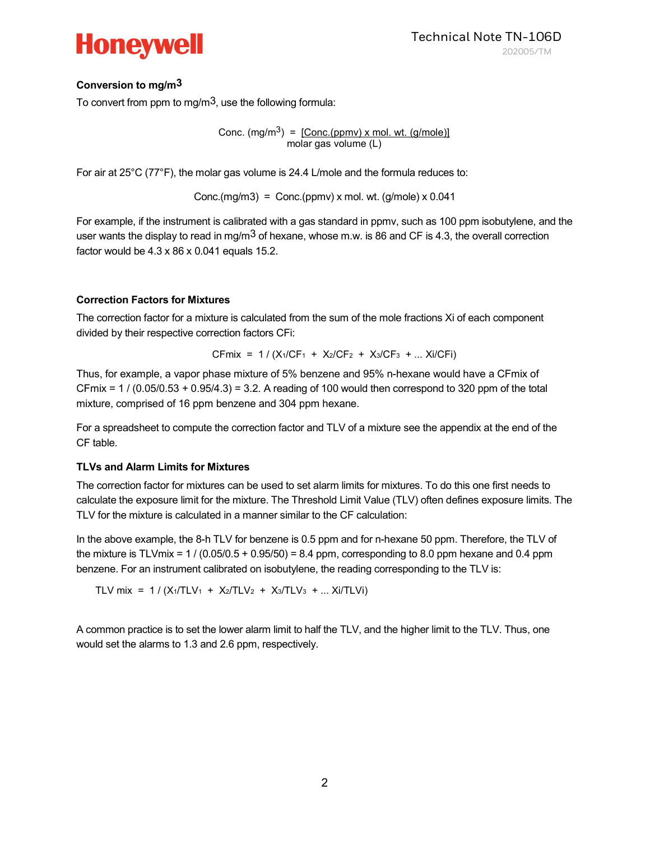

#### Conversion to mg/m3

To convert from ppm to mg/m<sup>3</sup>, use the following formula:

Conc.  $(mg/m^3) = [Conc.(ppmv) \times mol. wt. (g/mole)]$ molar gas volume (L)

For air at 25°C (77°F), the molar gas volume is 24.4 L/mole and the formula reduces to:

Conc.(mg/m3) = Conc.(ppmv) x mol. wt. (g/mole) x  $0.041$ 

For example, if the instrument is calibrated with a gas standard in ppmv, such as 100 ppm isobutylene, and the user wants the display to read in mg/m<sup>3</sup> of hexane, whose m.w. is 86 and CF is 4.3, the overall correction factor would be 4.3 x 86 x 0.041 equals 15.2.

#### Correction Factors for Mixtures

The correction factor for a mixture is calculated from the sum of the mole fractions Xi of each component divided by their respective correction factors CFi:

CFmix = 
$$
1 / (X_1 / CF_1 + X_2 / CF_2 + X_3 / CF_3 + ... X_i / CF_i)
$$

Thus, for example, a vapor phase mixture of 5% benzene and 95% n-hexane would have a CFmix of  $CFmix = 1 / (0.05/0.53 + 0.95/4.3) = 3.2$ . A reading of 100 would then correspond to 320 ppm of the total mixture, comprised of 16 ppm benzene and 304 ppm hexane.

For a spreadsheet to compute the correction factor and TLV of a mixture see the appendix at the end of the CF table.

#### TLVs and Alarm Limits for Mixtures

The correction factor for mixtures can be used to set alarm limits for mixtures. To do this one first needs to calculate the exposure limit for the mixture. The Threshold Limit Value (TLV) often defines exposure limits. The TLV for the mixture is calculated in a manner similar to the CF calculation:

In the above example, the 8-h TLV for benzene is 0.5 ppm and for n-hexane 50 ppm. Therefore, the TLV of the mixture is TLVmix =  $1 / (0.05/0.5 + 0.95/50) = 8.4$  ppm, corresponding to 8.0 ppm hexane and 0.4 ppm benzene. For an instrument calibrated on isobutylene, the reading corresponding to the TLV is:

TLV mix =  $1 / (X_1/TLV_1 + X_2/TLV_2 + X_3/TLV_3 + ... X_i/TLV_i)$ 

A common practice is to set the lower alarm limit to half the TLV, and the higher limit to the TLV. Thus, one would set the alarms to 1.3 and 2.6 ppm, respectively.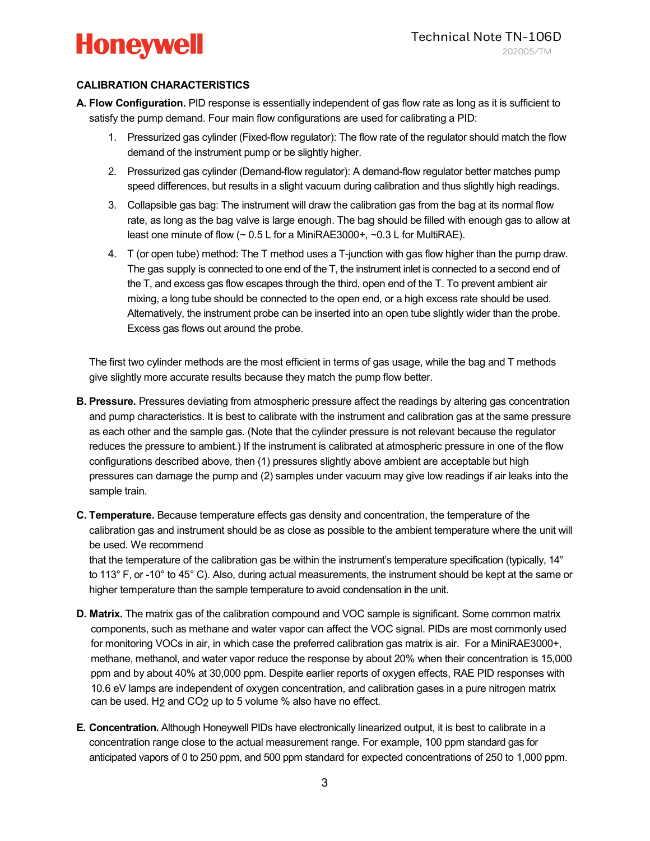#### CALIBRATION CHARACTERISTICS

- A. Flow Configuration. PID response is essentially independent of gas flow rate as long as it is sufficient to satisfy the pump demand. Four main flow configurations are used for calibrating a PID:
	- 1. Pressurized gas cylinder (Fixed-flow regulator): The flow rate of the regulator should match the flow demand of the instrument pump or be slightly higher.
	- 2. Pressurized gas cylinder (Demand-flow regulator): A demand-flow regulator better matches pump speed differences, but results in a slight vacuum during calibration and thus slightly high readings.
	- 3. Collapsible gas bag: The instrument will draw the calibration gas from the bag at its normal flow rate, as long as the bag valve is large enough. The bag should be filled with enough gas to allow at least one minute of flow  $($   $\sim$  0.5 L for a MiniRAE3000+,  $\sim$ 0.3 L for MultiRAE).
	- 4. T (or open tube) method: The T method uses a T-junction with gas flow higher than the pump draw. The gas supply is connected to one end of the T, the instrument inlet is connected to a second end of the T, and excess gas flow escapes through the third, open end of the T. To prevent ambient air mixing, a long tube should be connected to the open end, or a high excess rate should be used. Alternatively, the instrument probe can be inserted into an open tube slightly wider than the probe. Excess gas flows out around the probe.

The first two cylinder methods are the most efficient in terms of gas usage, while the bag and T methods give slightly more accurate results because they match the pump flow better.

- B. Pressure. Pressures deviating from atmospheric pressure affect the readings by altering gas concentration and pump characteristics. It is best to calibrate with the instrument and calibration gas at the same pressure as each other and the sample gas. (Note that the cylinder pressure is not relevant because the regulator reduces the pressure to ambient.) If the instrument is calibrated at atmospheric pressure in one of the flow configurations described above, then (1) pressures slightly above ambient are acceptable but high pressures can damage the pump and (2) samples under vacuum may give low readings if air leaks into the sample train.
- C. Temperature. Because temperature effects gas density and concentration, the temperature of the calibration gas and instrument should be as close as possible to the ambient temperature where the unit will be used. We recommend

that the temperature of the calibration gas be within the instrument's temperature specification (typically, 14° to 113° F, or -10° to 45° C). Also, during actual measurements, the instrument should be kept at the same or higher temperature than the sample temperature to avoid condensation in the unit.

- D. Matrix. The matrix gas of the calibration compound and VOC sample is significant. Some common matrix components, such as methane and water vapor can affect the VOC signal. PIDs are most commonly used for monitoring VOCs in air, in which case the preferred calibration gas matrix is air. For a MiniRAE3000+, methane, methanol, and water vapor reduce the response by about 20% when their concentration is 15,000 ppm and by about 40% at 30,000 ppm. Despite earlier reports of oxygen effects, RAE PID responses with 10.6 eV lamps are independent of oxygen concentration, and calibration gases in a pure nitrogen matrix can be used. H<sub>2</sub> and CO<sub>2</sub> up to 5 volume  $%$  also have no effect.
- E. Concentration. Although Honeywell PIDs have electronically linearized output, it is best to calibrate in a concentration range close to the actual measurement range. For example, 100 ppm standard gas for anticipated vapors of 0 to 250 ppm, and 500 ppm standard for expected concentrations of 250 to 1,000 ppm.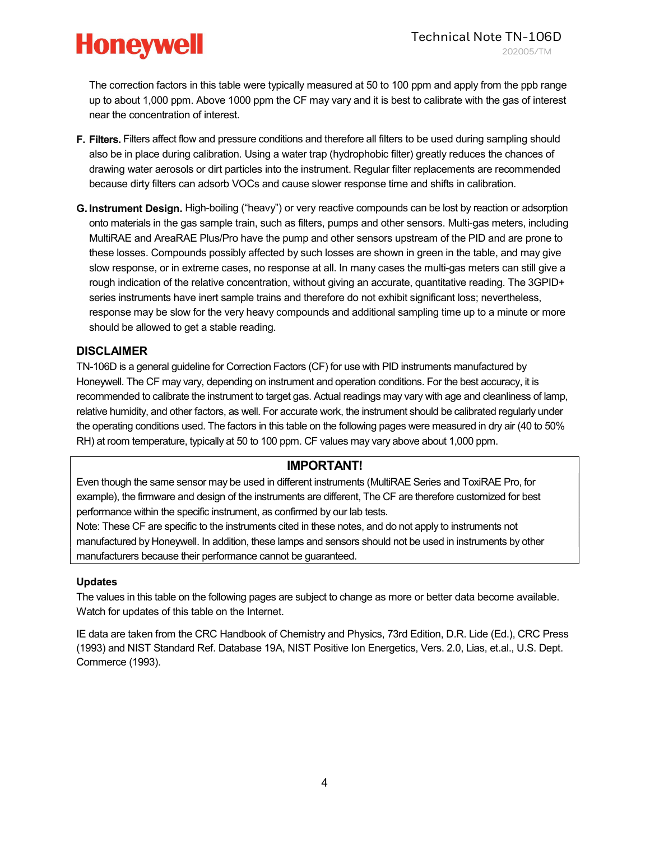The correction factors in this table were typically measured at 50 to 100 ppm and apply from the ppb range up to about 1,000 ppm. Above 1000 ppm the CF may vary and it is best to calibrate with the gas of interest near the concentration of interest.

- F. Filters. Filters affect flow and pressure conditions and therefore all filters to be used during sampling should also be in place during calibration. Using a water trap (hydrophobic filter) greatly reduces the chances of drawing water aerosols or dirt particles into the instrument. Regular filter replacements are recommended because dirty filters can adsorb VOCs and cause slower response time and shifts in calibration.
- G. Instrument Design. High-boiling ("heavy") or very reactive compounds can be lost by reaction or adsorption onto materials in the gas sample train, such as filters, pumps and other sensors. Multi-gas meters, including MultiRAE and AreaRAE Plus/Pro have the pump and other sensors upstream of the PID and are prone to these losses. Compounds possibly affected by such losses are shown in green in the table, and may give slow response, or in extreme cases, no response at all. In many cases the multi-gas meters can still give a rough indication of the relative concentration, without giving an accurate, quantitative reading. The 3GPID+ series instruments have inert sample trains and therefore do not exhibit significant loss; nevertheless, response may be slow for the very heavy compounds and additional sampling time up to a minute or more should be allowed to get a stable reading.

#### DISCLAIMER

TN-106D is a general guideline for Correction Factors (CF) for use with PID instruments manufactured by Honeywell. The CF may vary, depending on instrument and operation conditions. For the best accuracy, it is recommended to calibrate the instrument to target gas. Actual readings may vary with age and cleanliness of lamp, relative humidity, and other factors, as well. For accurate work, the instrument should be calibrated regularly under the operating conditions used. The factors in this table on the following pages were measured in dry air (40 to 50% RH) at room temperature, typically at 50 to 100 ppm. CF values may vary above about 1,000 ppm.

#### IMPORTANT!

Even though the same sensor may be used in different instruments (MultiRAE Series and ToxiRAE Pro, for example), the firmware and design of the instruments are different, The CF are therefore customized for best performance within the specific instrument, as confirmed by our lab tests.

Note: These CF are specific to the instruments cited in these notes, and do not apply to instruments not manufactured by Honeywell. In addition, these lamps and sensors should not be used in instruments by other manufacturers because their performance cannot be guaranteed.

#### Updates

The values in this table on the following pages are subject to change as more or better data become available. Watch for updates of this table on the Internet.

IE data are taken from the CRC Handbook of Chemistry and Physics, 73rd Edition, D.R. Lide (Ed.), CRC Press (1993) and NIST Standard Ref. Database 19A, NIST Positive Ion Energetics, Vers. 2.0, Lias, et.al., U.S. Dept. Commerce (1993).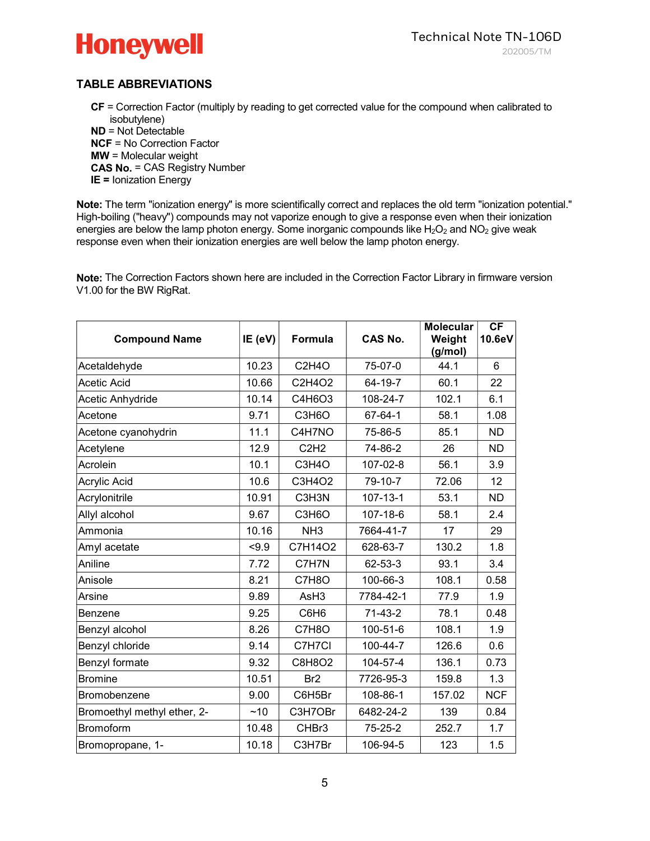

#### TABLE ABBREVIATIONS

CF = Correction Factor (multiply by reading to get corrected value for the compound when calibrated to isobutylene)

ND = Not Detectable NCF = No Correction Factor MW = Molecular weight CAS No. = CAS Registry Number **IE = Ionization Energy** 

Note: The term "ionization energy" is more scientifically correct and replaces the old term "ionization potential." High-boiling ("heavy") compounds may not vaporize enough to give a response even when their ionization energies are below the lamp photon energy. Some inorganic compounds like  $H_2O_2$  and  $NO_2$  give weak response even when their ionization energies are well below the lamp photon energy.

Note: The Correction Factors shown here are included in the Correction Factor Library in firmware version V1.00 for the BW RigRat.

| <b>Compound Name</b>        | IE (eV) | <b>Formula</b>   | CAS No.        | <b>Molecular</b><br>Weight<br>(g/mol) | CF<br>10.6eV |
|-----------------------------|---------|------------------|----------------|---------------------------------------|--------------|
| Acetaldehyde                | 10.23   | C2H4O            | 75-07-0        | 44.1                                  | 6            |
| <b>Acetic Acid</b>          | 10.66   | C2H4O2           | 64-19-7        | 60.1                                  | 22           |
| Acetic Anhydride            | 10.14   | C4H6O3           | 108-24-7       | 102.1                                 | 6.1          |
| Acetone                     | 9.71    | C3H6O            | 67-64-1        | 58.1                                  | 1.08         |
| Acetone cyanohydrin         | 11.1    | C4H7NO           | 75-86-5        | 85.1                                  | ND.          |
| Acetylene                   | 12.9    | C2H2             | 74-86-2        | 26                                    | <b>ND</b>    |
| Acrolein                    | 10.1    | C3H4O            | 107-02-8       | 56.1                                  | 3.9          |
| Acrylic Acid                | 10.6    | C3H4O2           | 79-10-7        | 72.06                                 | 12           |
| Acrylonitrile               | 10.91   | C3H3N            | $107 - 13 - 1$ | 53.1                                  | <b>ND</b>    |
| Allyl alcohol               | 9.67    | C3H6O            | 107-18-6       | 58.1                                  | 2.4          |
| Ammonia                     | 10.16   | NH <sub>3</sub>  | 7664-41-7      | 17                                    | 29           |
| Amyl acetate                | < 9.9   | C7H14O2          | 628-63-7       | 130.2                                 | 1.8          |
| Aniline                     | 7.72    | C7H7N            | 62-53-3        | 93.1                                  | 3.4          |
| Anisole                     | 8.21    | C7H8O            | 100-66-3       | 108.1                                 | 0.58         |
| Arsine                      | 9.89    | AsH <sub>3</sub> | 7784-42-1      | 77.9                                  | 1.9          |
| Benzene                     | 9.25    | C6H6             | $71-43-2$      | 78.1                                  | 0.48         |
| Benzyl alcohol              | 8.26    | C7H8O            | 100-51-6       | 108.1                                 | 1.9          |
| Benzyl chloride             | 9.14    | C7H7Cl           | 100-44-7       | 126.6                                 | 0.6          |
| Benzyl formate              | 9.32    | C8H8O2           | 104-57-4       | 136.1                                 | 0.73         |
| <b>Bromine</b>              | 10.51   | Br <sub>2</sub>  | 7726-95-3      | 159.8                                 | 1.3          |
| Bromobenzene                | 9.00    | C6H5Br           | 108-86-1       | 157.02                                | <b>NCF</b>   |
| Bromoethyl methyl ether, 2- | ~10     | C3H7OBr          | 6482-24-2      | 139                                   | 0.84         |
| <b>Bromoform</b>            | 10.48   | CHBr3            | 75-25-2        | 252.7                                 | 1.7          |
| Bromopropane, 1-            | 10.18   | C3H7Br           | 106-94-5       | 123                                   | 1.5          |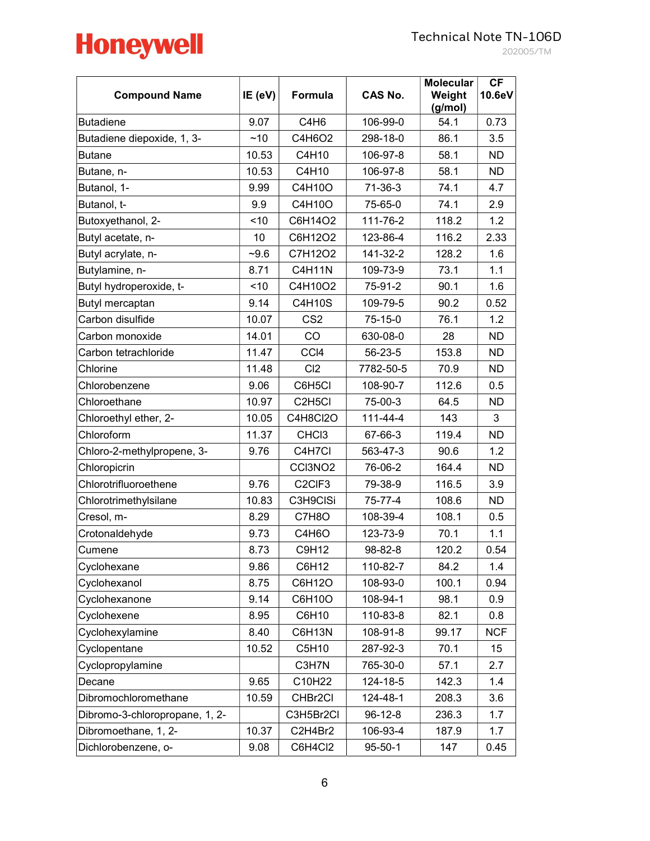|       |                               | 202005 |
|-------|-------------------------------|--------|
| S No. | Molecular CF<br>Weight 10.6eV |        |

| <b>Compound Name</b>           | IE (eV) | Formula                         | CAS No.       | <b>Molecular</b><br>Weight<br>(g/mol) | CF<br>10.6eV |
|--------------------------------|---------|---------------------------------|---------------|---------------------------------------|--------------|
| <b>Butadiene</b>               | 9.07    | C4H <sub>6</sub>                | 106-99-0      | 54.1                                  | 0.73         |
| Butadiene diepoxide, 1, 3-     | ~10     | C4H6O2                          | 298-18-0      | 86.1                                  | 3.5          |
| <b>Butane</b>                  | 10.53   | C4H10                           | 106-97-8      | 58.1                                  | <b>ND</b>    |
| Butane, n-                     | 10.53   | C4H10                           | 106-97-8      | 58.1                                  | ND.          |
| Butanol, 1-                    | 9.99    | C4H10O                          | $71-36-3$     | 74.1                                  | 4.7          |
| Butanol, t-                    | 9.9     | C4H10O                          | 75-65-0       | 74.1                                  | 2.9          |
| Butoxyethanol, 2-              | < 10    | C6H14O2                         | 111-76-2      | 118.2                                 | 1.2          |
| Butyl acetate, n-              | 10      | C6H12O2                         | 123-86-4      | 116.2                                 | 2.33         |
| Butyl acrylate, n-             | $-9.6$  | C7H12O2                         | 141-32-2      | 128.2                                 | 1.6          |
| Butylamine, n-                 | 8.71    | C4H11N                          | 109-73-9      | 73.1                                  | 1.1          |
| Butyl hydroperoxide, t-        | < 10    | C4H10O2                         | 75-91-2       | 90.1                                  | 1.6          |
| Butyl mercaptan                | 9.14    | <b>C4H10S</b>                   | 109-79-5      | 90.2                                  | 0.52         |
| Carbon disulfide               | 10.07   | CS <sub>2</sub>                 | 75-15-0       | 76.1                                  | 1.2          |
| Carbon monoxide                | 14.01   | CO                              | 630-08-0      | 28                                    | <b>ND</b>    |
| Carbon tetrachloride           | 11.47   | CCI4                            | 56-23-5       | 153.8                                 | <b>ND</b>    |
| Chlorine                       | 11.48   | Cl2                             | 7782-50-5     | 70.9                                  | <b>ND</b>    |
| Chlorobenzene                  | 9.06    | C6H5CI                          | 108-90-7      | 112.6                                 | 0.5          |
| Chloroethane                   | 10.97   | C <sub>2</sub> H <sub>5Cl</sub> | 75-00-3       | 64.5                                  | <b>ND</b>    |
| Chloroethyl ether, 2-          | 10.05   | C4H8Cl2O                        | 111-44-4      | 143                                   | 3            |
| Chloroform                     | 11.37   | CHC <sub>13</sub>               | 67-66-3       | 119.4                                 | <b>ND</b>    |
| Chloro-2-methylpropene, 3-     | 9.76    | C4H7Cl                          | 563-47-3      | 90.6                                  | 1.2          |
| Chloropicrin                   |         | CCI3NO <sub>2</sub>             | 76-06-2       | 164.4                                 | <b>ND</b>    |
| Chlorotrifluoroethene          | 9.76    | C <sub>2</sub> CIF <sub>3</sub> | 79-38-9       | 116.5                                 | 3.9          |
| Chlorotrimethylsilane          | 10.83   | C3H9CISi                        | 75-77-4       | 108.6                                 | <b>ND</b>    |
| Cresol, m-                     | 8.29    | C7H8O                           | 108-39-4      | 108.1                                 | 0.5          |
| Crotonaldehyde                 | 9.73    | C4H6O                           | 123-73-9      | 70.1                                  | 1.1          |
| Cumene                         | 8.73    | C9H12                           | 98-82-8       | 120.2                                 | 0.54         |
| Cyclohexane                    | 9.86    | C6H12                           | 110-82-7      | 84.2                                  | 1.4          |
| Cyclohexanol                   | 8.75    | C6H12O                          | 108-93-0      | 100.1                                 | 0.94         |
| Cyclohexanone                  | 9.14    | C6H10O                          | 108-94-1      | 98.1                                  | 0.9          |
| Cyclohexene                    | 8.95    | C6H10                           | 110-83-8      | 82.1                                  | 0.8          |
| Cyclohexylamine                | 8.40    | C6H13N                          | 108-91-8      | 99.17                                 | <b>NCF</b>   |
| Cyclopentane                   | 10.52   | C5H10                           | 287-92-3      | 70.1                                  | 15           |
| Cyclopropylamine               |         | C3H7N                           | 765-30-0      | 57.1                                  | 2.7          |
| Decane                         | 9.65    | C10H22                          | 124-18-5      | 142.3                                 | 1.4          |
| Dibromochloromethane           | 10.59   | CHBr2Cl                         | 124-48-1      | 208.3                                 | 3.6          |
| Dibromo-3-chloropropane, 1, 2- |         | C3H5Br2Cl                       | $96 - 12 - 8$ | 236.3                                 | 1.7          |
| Dibromoethane, 1, 2-           | 10.37   | C2H4Br2                         | 106-93-4      | 187.9                                 | 1.7          |
| Dichlorobenzene, o-            | 9.08    | C6H4Cl2                         | $95 - 50 - 1$ | 147                                   | 0.45         |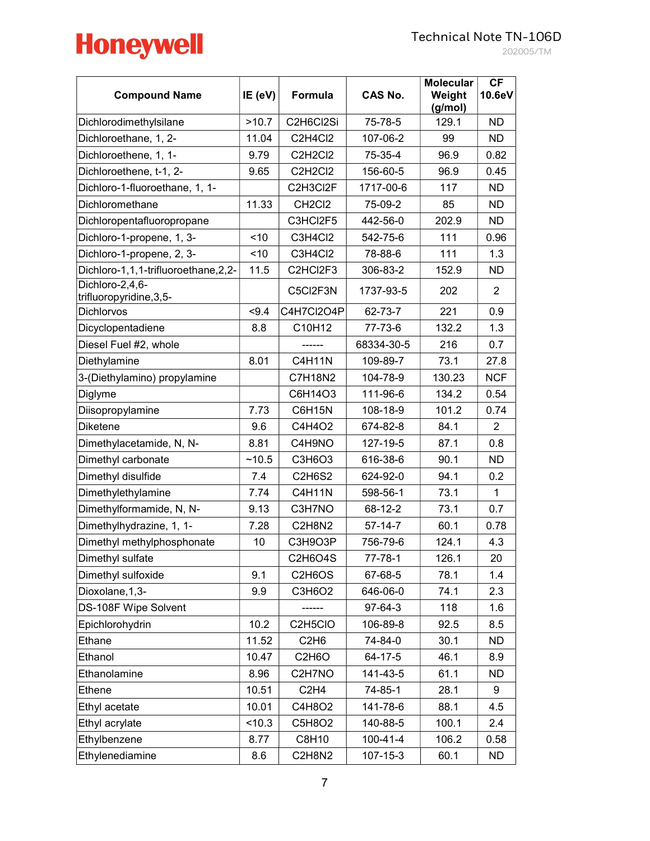| <b>Compound Name</b>                        | IE (eV) | Formula                                       | <b>CAS No.</b> | <b>Molecular</b><br>Weight<br>(g/mol) | CF<br>10.6eV   |
|---------------------------------------------|---------|-----------------------------------------------|----------------|---------------------------------------|----------------|
| Dichlorodimethylsilane                      | >10.7   | C2H6Cl2Si                                     | 75-78-5        | 129.1                                 | ND.            |
| Dichloroethane, 1, 2-                       | 11.04   | C2H4Cl2                                       | 107-06-2       | 99                                    | <b>ND</b>      |
| Dichloroethene, 1, 1-                       | 9.79    | C2H2Cl2                                       | 75-35-4        | 96.9                                  | 0.82           |
| Dichloroethene, t-1, 2-                     | 9.65    | C2H2Cl2                                       | 156-60-5       | 96.9                                  | 0.45           |
| Dichloro-1-fluoroethane, 1, 1-              |         | C2H3Cl2F                                      | 1717-00-6      | 117                                   | ND.            |
| Dichloromethane                             | 11.33   | CH <sub>2</sub> Cl <sub>2</sub>               | 75-09-2        | 85                                    | <b>ND</b>      |
| Dichloropentafluoropropane                  |         | C3HCI2F5                                      | 442-56-0       | 202.9                                 | <b>ND</b>      |
| Dichloro-1-propene, 1, 3-                   | < 10    | C3H4Cl2                                       | 542-75-6       | 111                                   | 0.96           |
| Dichloro-1-propene, 2, 3-                   | < 10    | C3H4Cl2                                       | 78-88-6        | 111                                   | 1.3            |
| Dichloro-1,1,1-trifluoroethane,2,2-         | 11.5    | C2HCI2F3                                      | 306-83-2       | 152.9                                 | <b>ND</b>      |
| Dichloro-2,4,6-<br>trifluoropyridine, 3, 5- |         | C5Cl2F3N                                      | 1737-93-5      | 202                                   | $\overline{2}$ |
| <b>Dichlorvos</b>                           | $-9.4$  | C4H7Cl2O4P                                    | 62-73-7        | 221                                   | 0.9            |
| Dicyclopentadiene                           | 8.8     | C10H12                                        | 77-73-6        | 132.2                                 | 1.3            |
| Diesel Fuel #2, whole                       |         |                                               | 68334-30-5     | 216                                   | 0.7            |
| Diethylamine                                | 8.01    | <b>C4H11N</b>                                 | 109-89-7       | 73.1                                  | 27.8           |
| 3-(Diethylamino) propylamine                |         | C7H18N2                                       | 104-78-9       | 130.23                                | <b>NCF</b>     |
| Diglyme                                     |         | C6H14O3                                       | 111-96-6       | 134.2                                 | 0.54           |
| Diisopropylamine                            | 7.73    | <b>C6H15N</b>                                 | 108-18-9       | 101.2                                 | 0.74           |
| <b>Diketene</b>                             | 9.6     | C4H4O2                                        | 674-82-8       | 84.1                                  | $\overline{2}$ |
| Dimethylacetamide, N, N-                    | 8.81    | C4H9NO                                        | 127-19-5       | 87.1                                  | 0.8            |
| Dimethyl carbonate                          | ~10.5   | C3H6O3                                        | 616-38-6       | 90.1                                  | ND.            |
| Dimethyl disulfide                          | 7.4     | <b>C2H6S2</b>                                 | 624-92-0       | 94.1                                  | 0.2            |
| Dimethylethylamine                          | 7.74    | <b>C4H11N</b>                                 | 598-56-1       | 73.1                                  | $\mathbf{1}$   |
| Dimethylformamide, N, N-                    | 9.13    | C3H7NO                                        | 68-12-2        | 73.1                                  | 0.7            |
| Dimethylhydrazine, 1, 1-                    | 7.28    | C2H8N2                                        | 57-14-7        | 60.1                                  | 0.78           |
| Dimethyl methylphosphonate                  | 10      | C3H9O3P                                       | 756-79-6       | 124.1                                 | 4.3            |
| Dimethyl sulfate                            |         | C2H6O4S                                       | $77 - 78 - 1$  | 126.1                                 | 20             |
| Dimethyl sulfoxide                          | 9.1     | C2H6OS                                        | 67-68-5        | 78.1                                  | 1.4            |
| Dioxolane, 1, 3-                            | 9.9     | C3H6O2                                        | 646-06-0       | 74.1                                  | 2.3            |
| DS-108F Wipe Solvent                        |         |                                               | 97-64-3        | 118                                   | 1.6            |
| Epichlorohydrin                             | 10.2    | C <sub>2</sub> H <sub>5</sub> C <sub>IO</sub> | 106-89-8       | 92.5                                  | 8.5            |
| Ethane                                      | 11.52   | C <sub>2</sub> H <sub>6</sub>                 | 74-84-0        | 30.1                                  | ND.            |
| Ethanol                                     | 10.47   | C <sub>2</sub> H <sub>6</sub> O               | 64-17-5        | 46.1                                  | 8.9            |
| Ethanolamine                                | 8.96    | C2H7NO                                        | 141-43-5       | 61.1                                  | <b>ND</b>      |
| Ethene                                      | 10.51   | C <sub>2</sub> H <sub>4</sub>                 | 74-85-1        | 28.1                                  | 9              |
| Ethyl acetate                               | 10.01   | C4H8O2                                        | 141-78-6       | 88.1                                  | 4.5            |
| Ethyl acrylate                              | 10.3    | C5H8O2                                        | 140-88-5       | 100.1                                 | 2.4            |
| Ethylbenzene                                | 8.77    | C8H10                                         | $100 - 41 - 4$ | 106.2                                 | 0.58           |
| Ethylenediamine                             | 8.6     | C2H8N2                                        | 107-15-3       | 60.1                                  | <b>ND</b>      |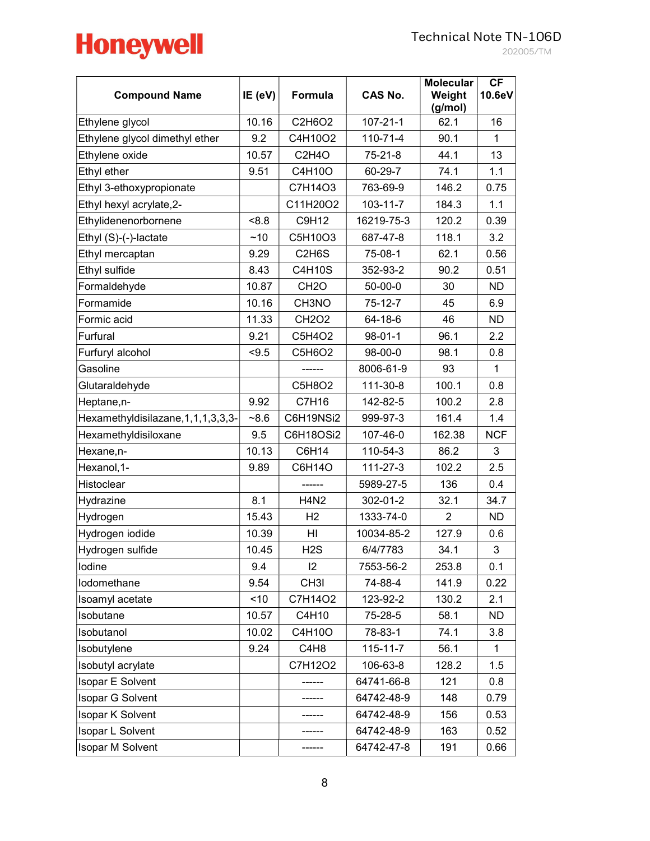| <b>Compound Name</b>                    | IE (eV) | Formula                         | <b>CAS No.</b> | <b>Molecular</b><br>Weight<br>(g/mol) | <b>CF</b><br>10.6eV |
|-----------------------------------------|---------|---------------------------------|----------------|---------------------------------------|---------------------|
| Ethylene glycol                         | 10.16   | C2H6O2                          | $107 - 21 - 1$ | 62.1                                  | 16                  |
| Ethylene glycol dimethyl ether          | 9.2     | C4H10O2                         | $110 - 71 - 4$ | 90.1                                  | $\mathbf{1}$        |
| Ethylene oxide                          | 10.57   | C2H4O                           | 75-21-8        | 44.1                                  | 13                  |
| Ethyl ether                             | 9.51    | C4H10O                          | 60-29-7        | 74.1                                  | 1.1                 |
| Ethyl 3-ethoxypropionate                |         | C7H14O3                         | 763-69-9       | 146.2                                 | 0.75                |
| Ethyl hexyl acrylate, 2-                |         | C11H20O2                        | $103 - 11 - 7$ | 184.3                                 | 1.1                 |
| Ethylidenenorbornene                    | 8.8     | C9H12                           | 16219-75-3     | 120.2                                 | 0.39                |
| Ethyl (S)-(-)-lactate                   | ~10     | C5H10O3                         | 687-47-8       | 118.1                                 | 3.2                 |
| Ethyl mercaptan                         | 9.29    | C <sub>2</sub> H <sub>6</sub> S | 75-08-1        | 62.1                                  | 0.56                |
| Ethyl sulfide                           | 8.43    | C4H10S                          | 352-93-2       | 90.2                                  | 0.51                |
| Formaldehyde                            | 10.87   | CH <sub>2</sub> O               | $50 - 00 - 0$  | 30                                    | <b>ND</b>           |
| Formamide                               | 10.16   | CH3NO                           | $75 - 12 - 7$  | 45                                    | 6.9                 |
| Formic acid                             | 11.33   | <b>CH2O2</b>                    | 64-18-6        | 46                                    | ND.                 |
| Furfural                                | 9.21    | C5H4O2                          | $98 - 01 - 1$  | 96.1                                  | $2.2\,$             |
| Furfuryl alcohol                        | < 9.5   | C5H6O2                          | 98-00-0        | 98.1                                  | 0.8                 |
| Gasoline                                |         |                                 | 8006-61-9      | 93                                    | $\mathbf{1}$        |
| Glutaraldehyde                          |         | C5H8O2                          | 111-30-8       | 100.1                                 | 0.8                 |
| Heptane, n-                             | 9.92    | C7H16                           | 142-82-5       | 100.2                                 | 2.8                 |
| Hexamethyldisilazane, 1, 1, 1, 3, 3, 3- | $-8.6$  | C6H19NSi2                       | 999-97-3       | 161.4                                 | 1.4                 |
| Hexamethyldisiloxane                    | 9.5     | C6H18OSi2                       | 107-46-0       | 162.38                                | <b>NCF</b>          |
| Hexane, n-                              | 10.13   | C6H14                           | 110-54-3       | 86.2                                  | 3                   |
| Hexanol, 1-                             | 9.89    | C6H14O                          | 111-27-3       | 102.2                                 | 2.5                 |
| Histoclear                              |         |                                 | 5989-27-5      | 136                                   | 0.4                 |
| Hydrazine                               | 8.1     | <b>H4N2</b>                     | 302-01-2       | 32.1                                  | 34.7                |
| Hydrogen                                | 15.43   | H <sub>2</sub>                  | 1333-74-0      | 2                                     | ND.                 |
| Hydrogen iodide                         | 10.39   | HI                              | 10034-85-2     | 127.9                                 | 0.6                 |
| Hydrogen sulfide                        | 10.45   | H2S                             | 6/4/7783       | 34.1                                  | 3                   |
| lodine                                  | 9.4     | 12                              | 7553-56-2      | 253.8                                 | 0.1                 |
| lodomethane                             | 9.54    | CH <sub>31</sub>                | 74-88-4        | 141.9                                 | 0.22                |
| Isoamyl acetate                         | < 10    | C7H14O2                         | 123-92-2       | 130.2                                 | 2.1                 |
| Isobutane                               | 10.57   | C4H10                           | 75-28-5        | 58.1                                  | <b>ND</b>           |
| Isobutanol                              | 10.02   | C4H10O                          | 78-83-1        | 74.1                                  | 3.8                 |
| Isobutylene                             | 9.24    | C4H8                            | $115 - 11 - 7$ | 56.1                                  | $\mathbf{1}$        |
| Isobutyl acrylate                       |         | C7H12O2                         | 106-63-8       | 128.2                                 | 1.5                 |
| Isopar E Solvent                        |         |                                 | 64741-66-8     | 121                                   | 0.8                 |
| <b>Isopar G Solvent</b>                 |         |                                 | 64742-48-9     | 148                                   | 0.79                |
| <b>Isopar K Solvent</b>                 |         |                                 | 64742-48-9     | 156                                   | 0.53                |
| <b>Isopar L Solvent</b>                 |         |                                 | 64742-48-9     | 163                                   | 0.52                |
| <b>Isopar M Solvent</b>                 |         |                                 | 64742-47-8     | 191                                   | 0.66                |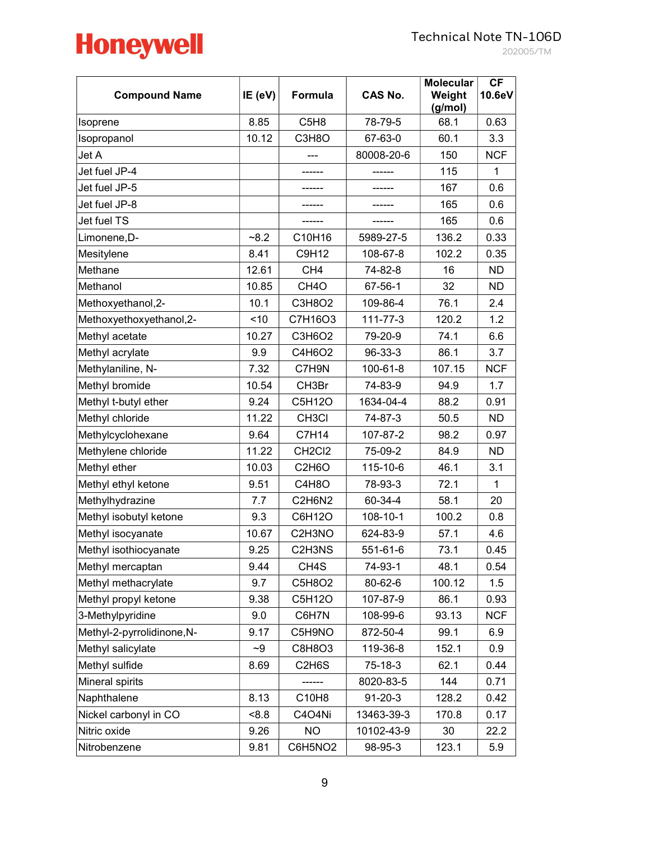

202005/TM

| <b>Compound Name</b>       | IE (eV) | Formula                         | <b>CAS No.</b> | <b>Molecular</b><br>Weight<br>(g/mol) | <b>CF</b><br>10.6eV |
|----------------------------|---------|---------------------------------|----------------|---------------------------------------|---------------------|
| Isoprene                   | 8.85    | C <sub>5</sub> H <sub>8</sub>   | 78-79-5        | 68.1                                  | 0.63                |
| Isopropanol                | 10.12   | C3H8O                           | 67-63-0        | 60.1                                  | 3.3                 |
| Jet A                      |         |                                 | 80008-20-6     | 150                                   | <b>NCF</b>          |
| Jet fuel JP-4              |         |                                 |                | 115                                   | $\mathbf{1}$        |
| Jet fuel JP-5              |         |                                 |                | 167                                   | 0.6                 |
| Jet fuel JP-8              |         |                                 |                | 165                                   | 0.6                 |
| Jet fuel TS                |         |                                 |                | 165                                   | 0.6                 |
| Limonene,D-                | $-8.2$  | C10H16                          | 5989-27-5      | 136.2                                 | 0.33                |
| Mesitylene                 | 8.41    | C9H12                           | 108-67-8       | 102.2                                 | 0.35                |
| Methane                    | 12.61   | CH <sub>4</sub>                 | 74-82-8        | 16                                    | <b>ND</b>           |
| Methanol                   | 10.85   | CH <sub>4</sub> O               | 67-56-1        | 32                                    | <b>ND</b>           |
| Methoxyethanol, 2-         | 10.1    | C3H8O2                          | 109-86-4       | 76.1                                  | 2.4                 |
| Methoxyethoxyethanol, 2-   | < 10    | C7H16O3                         | 111-77-3       | 120.2                                 | 1.2                 |
| Methyl acetate             | 10.27   | C3H6O2                          | 79-20-9        | 74.1                                  | 6.6                 |
| Methyl acrylate            | 9.9     | C4H6O2                          | 96-33-3        | 86.1                                  | 3.7                 |
| Methylaniline, N-          | 7.32    | C7H9N                           | 100-61-8       | 107.15                                | <b>NCF</b>          |
| Methyl bromide             | 10.54   | CH3Br                           | 74-83-9        | 94.9                                  | 1.7                 |
| Methyl t-butyl ether       | 9.24    | C5H12O                          | 1634-04-4      | 88.2                                  | 0.91                |
| Methyl chloride            | 11.22   | CH <sub>3</sub> CI              | 74-87-3        | 50.5                                  | <b>ND</b>           |
| Methylcyclohexane          | 9.64    | C7H14                           | 107-87-2       | 98.2                                  | 0.97                |
| Methylene chloride         | 11.22   | CH <sub>2</sub> C <sub>12</sub> | 75-09-2        | 84.9                                  | ND.                 |
| Methyl ether               | 10.03   | C <sub>2</sub> H <sub>6</sub> O | 115-10-6       | 46.1                                  | 3.1                 |
| Methyl ethyl ketone        | 9.51    | C4H8O                           | 78-93-3        | 72.1                                  | $\mathbf{1}$        |
| Methylhydrazine            | 7.7     | C2H6N2                          | 60-34-4        | 58.1                                  | 20                  |
| Methyl isobutyl ketone     | 9.3     | C6H12O                          | 108-10-1       | 100.2                                 | 0.8                 |
| Methyl isocyanate          | 10.67   | C2H3NO                          | 624-83-9       | 57.1                                  | 4.6                 |
| Methyl isothiocyanate      | 9.25    | C2H3NS                          | 551-61-6       | 73.1                                  | 0.45                |
| Methyl mercaptan           | 9.44    | CH <sub>4</sub> S               | 74-93-1        | 48.1                                  | 0.54                |
| Methyl methacrylate        | 9.7     | C5H8O2                          | 80-62-6        | 100.12                                | 1.5                 |
| Methyl propyl ketone       | 9.38    | C5H12O                          | 107-87-9       | 86.1                                  | 0.93                |
| 3-Methylpyridine           | 9.0     | C6H7N                           | 108-99-6       | 93.13                                 | <b>NCF</b>          |
| Methyl-2-pyrrolidinone, N- | 9.17    | C5H9NO                          | 872-50-4       | 99.1                                  | 6.9                 |
| Methyl salicylate          | ~9      | C8H8O3                          | 119-36-8       | 152.1                                 | 0.9                 |
| Methyl sulfide             | 8.69    | C <sub>2</sub> H <sub>6</sub> S | 75-18-3        | 62.1                                  | 0.44                |
| Mineral spirits            |         |                                 | 8020-83-5      | 144                                   | 0.71                |
| Naphthalene                | 8.13    | C10H8                           | $91 - 20 - 3$  | 128.2                                 | 0.42                |
| Nickel carbonyl in CO      | 8.8     | C4O4Ni                          | 13463-39-3     | 170.8                                 | 0.17                |
| Nitric oxide               | 9.26    | <b>NO</b>                       | 10102-43-9     | 30                                    | 22.2                |
| Nitrobenzene               | 9.81    | C6H5NO2                         | 98-95-3        | 123.1                                 | 5.9                 |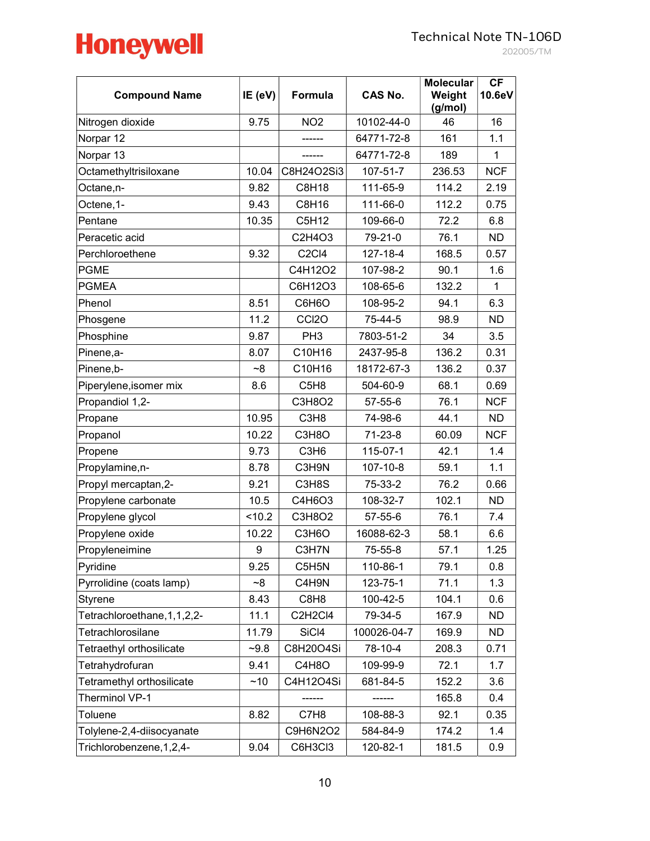

202005/TM

| <b>Compound Name</b>           | IE (eV) | Formula                        | <b>CAS No.</b> | <b>Molecular</b><br>Weight<br>(g/mol) | CF<br>10.6eV |
|--------------------------------|---------|--------------------------------|----------------|---------------------------------------|--------------|
| Nitrogen dioxide               | 9.75    | NO <sub>2</sub>                | 10102-44-0     | 46                                    | 16           |
| Norpar 12                      |         |                                | 64771-72-8     | 161                                   | 1.1          |
| Norpar 13                      |         |                                | 64771-72-8     | 189                                   | $\mathbf{1}$ |
| Octamethyltrisiloxane          | 10.04   | C8H24O2Si3                     | $107 - 51 - 7$ | 236.53                                | <b>NCF</b>   |
| Octane,n-                      | 9.82    | <b>C8H18</b>                   | 111-65-9       | 114.2                                 | 2.19         |
| Octene, 1-                     | 9.43    | C8H16                          | 111-66-0       | 112.2                                 | 0.75         |
| Pentane                        | 10.35   | C5H12                          | 109-66-0       | 72.2                                  | 6.8          |
| Peracetic acid                 |         | C2H4O3                         | 79-21-0        | 76.1                                  | ND.          |
| Perchloroethene                | 9.32    | C <sub>2</sub> C <sub>14</sub> | 127-18-4       | 168.5                                 | 0.57         |
| <b>PGME</b>                    |         | C4H12O2                        | 107-98-2       | 90.1                                  | 1.6          |
| <b>PGMEA</b>                   |         | C6H12O3                        | 108-65-6       | 132.2                                 | 1            |
| Phenol                         | 8.51    | C6H6O                          | 108-95-2       | 94.1                                  | 6.3          |
| Phosgene                       | 11.2    | CCI <sub>20</sub>              | 75-44-5        | 98.9                                  | ND.          |
| Phosphine                      | 9.87    | PH <sub>3</sub>                | 7803-51-2      | 34                                    | 3.5          |
| Pinene, a-                     | 8.07    | C10H16                         | 2437-95-8      | 136.2                                 | 0.31         |
| Pinene,b-                      | ~8      | C10H16                         | 18172-67-3     | 136.2                                 | 0.37         |
| Piperylene, isomer mix         | 8.6     | C5H8                           | 504-60-9       | 68.1                                  | 0.69         |
| Propandiol 1,2-                |         | C3H8O2                         | 57-55-6        | 76.1                                  | <b>NCF</b>   |
| Propane                        | 10.95   | C <sub>3</sub> H <sub>8</sub>  | 74-98-6        | 44.1                                  | <b>ND</b>    |
| Propanol                       | 10.22   | C3H8O                          | $71 - 23 - 8$  | 60.09                                 | <b>NCF</b>   |
| Propene                        | 9.73    | C <sub>3</sub> H <sub>6</sub>  | 115-07-1       | 42.1                                  | 1.4          |
| Propylamine, n-                | 8.78    | C3H9N                          | 107-10-8       | 59.1                                  | 1.1          |
| Propyl mercaptan, 2-           | 9.21    | C3H8S                          | 75-33-2        | 76.2                                  | 0.66         |
| Propylene carbonate            | 10.5    | C4H6O3                         | 108-32-7       | 102.1                                 | <b>ND</b>    |
| Propylene glycol               | < 10.2  | C3H8O2                         | 57-55-6        | 76.1                                  | 7.4          |
| Propylene oxide                | 10.22   | C3H6O                          | 16088-62-3     | 58.1                                  | 6.6          |
| Propyleneimine                 | 9       | C3H7N                          | 75-55-8        | 57.1                                  | 1.25         |
| Pyridine                       | 9.25    | C5H5N                          | 110-86-1       | 79.1                                  | 0.8          |
| Pyrrolidine (coats lamp)       | $-8$    | C4H9N                          | 123-75-1       | 71.1                                  | 1.3          |
| Styrene                        | 8.43    | C8H8                           | 100-42-5       | 104.1                                 | 0.6          |
| Tetrachloroethane, 1, 1, 2, 2- | 11.1    | C2H2Cl4                        | 79-34-5        | 167.9                                 | <b>ND</b>    |
| Tetrachlorosilane              | 11.79   | SiCl4                          | 100026-04-7    | 169.9                                 | ND.          |
| Tetraethyl orthosilicate       | $-9.8$  | C8H20O4Si                      | 78-10-4        | 208.3                                 | 0.71         |
| Tetrahydrofuran                | 9.41    | C4H8O                          | 109-99-9       | 72.1                                  | 1.7          |
| Tetramethyl orthosilicate      | ~10     | C4H12O4Si                      | 681-84-5       | 152.2                                 | 3.6          |
| Therminol VP-1                 |         |                                |                | 165.8                                 | 0.4          |
| Toluene                        | 8.82    | C7H8                           | 108-88-3       | 92.1                                  | 0.35         |
| Tolylene-2,4-diisocyanate      |         | C9H6N2O2                       | 584-84-9       | 174.2                                 | 1.4          |
| Trichlorobenzene, 1, 2, 4-     | 9.04    | C6H3Cl3                        | 120-82-1       | 181.5                                 | 0.9          |